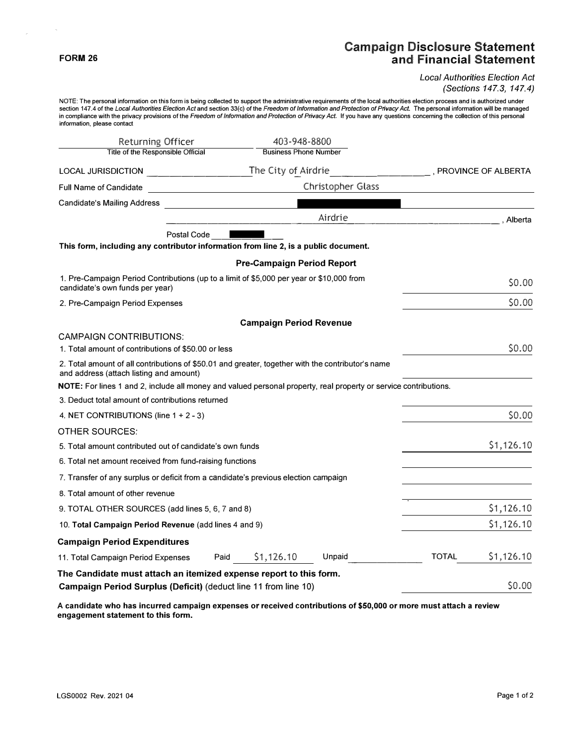## **FORM 26**

 $\sim$ 

 $\mathcal{L}$ 

## **Campaign Disclosure Statement and Financial Statement**

*Local Authorities Election Act (Sections 147.3, 147.4)* 

NOTE: The personal information on this form is being collected to support the administrative requirements of the local authorities election process and is authorized under<br>section 147.4 of the *Local Authorities Election A* in compliance with the privacy provisions of the *Freedom* of *Information and Protection* of *Privacy Act.* If you have any questions concerning the collection of this personal information, please contact

| <b>Returning Officer</b>                                                                                                                     | 403-948-8800                                                                                   |                   |                       |            |  |
|----------------------------------------------------------------------------------------------------------------------------------------------|------------------------------------------------------------------------------------------------|-------------------|-----------------------|------------|--|
| Title of the Responsible Official                                                                                                            | <b>Business Phone Number</b>                                                                   |                   |                       |            |  |
| <b>LOCAL JURISDICTION</b>                                                                                                                    | The City of Airdrie<br><u> 2000 - Jan James James Barbara, president popular est est altre</u> |                   | , PROVINCE OF ALBERTA |            |  |
| Full Name of Candidate                                                                                                                       | <u> 1990 - Johann Barbara, martin a</u>                                                        | Christopher Glass |                       |            |  |
| <b>Candidate's Mailing Address</b>                                                                                                           |                                                                                                |                   |                       |            |  |
|                                                                                                                                              |                                                                                                | Airdrie           |                       | . Alberta  |  |
| Postal Code                                                                                                                                  |                                                                                                |                   |                       |            |  |
| This form, including any contributor information from line 2, is a public document.                                                          |                                                                                                |                   |                       |            |  |
|                                                                                                                                              | <b>Pre-Campaign Period Report</b>                                                              |                   |                       |            |  |
| 1. Pre-Campaign Period Contributions (up to a limit of \$5,000 per year or \$10,000 from<br>candidate's own funds per year)                  |                                                                                                |                   |                       | \$0.00     |  |
| 2. Pre-Campaign Period Expenses                                                                                                              |                                                                                                |                   |                       | \$0.00     |  |
|                                                                                                                                              | <b>Campaign Period Revenue</b>                                                                 |                   |                       |            |  |
| <b>CAMPAIGN CONTRIBUTIONS:</b>                                                                                                               |                                                                                                |                   |                       |            |  |
| 1. Total amount of contributions of \$50,00 or less                                                                                          |                                                                                                |                   |                       | \$0.00     |  |
| 2. Total amount of all contributions of \$50.01 and greater, together with the contributor's name<br>and address (attach listing and amount) |                                                                                                |                   |                       |            |  |
| NOTE: For lines 1 and 2, include all money and valued personal property, real property or service contributions.                             |                                                                                                |                   |                       |            |  |
| 3. Deduct total amount of contributions returned                                                                                             |                                                                                                |                   |                       |            |  |
| 4. NET CONTRIBUTIONS (line $1 + 2 - 3$ )                                                                                                     |                                                                                                |                   |                       | \$0.00     |  |
| OTHER SOURCES:                                                                                                                               |                                                                                                |                   |                       |            |  |
| 5. Total amount contributed out of candidate's own funds                                                                                     |                                                                                                |                   |                       | \$1,126.10 |  |
| 6. Total net amount received from fund-raising functions                                                                                     |                                                                                                |                   |                       |            |  |
| 7. Transfer of any surplus or deficit from a candidate's previous election campaign                                                          |                                                                                                |                   |                       |            |  |
| 8. Total amount of other revenue                                                                                                             |                                                                                                |                   |                       |            |  |
| 9. TOTAL OTHER SOURCES (add lines 5, 6, 7 and 8)                                                                                             |                                                                                                |                   |                       | \$1,126.10 |  |
| 10. Total Campaign Period Revenue (add lines 4 and 9)                                                                                        |                                                                                                |                   | \$1,126.10            |            |  |
| <b>Campaign Period Expenditures</b>                                                                                                          |                                                                                                |                   |                       |            |  |
| 11. Total Campaign Period Expenses                                                                                                           | \$1,126.10<br>Paid                                                                             | Unpaid            | <b>TOTAL</b>          | \$1,126.10 |  |
| The Candidate must attach an itemized expense report to this form.                                                                           |                                                                                                |                   |                       |            |  |
| Campaign Period Surplus (Deficit) (deduct line 11 from line 10)                                                                              |                                                                                                |                   |                       | \$0.00     |  |

**A candidate who has incurred campaign expenses or received contributions of \$50,000 or more must attach a review engagement statement to this form.**